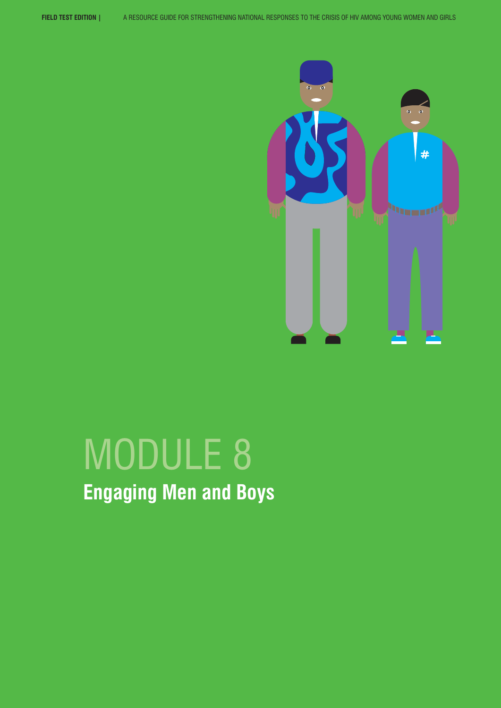

# MODULE 8 **Engaging Men and Boys**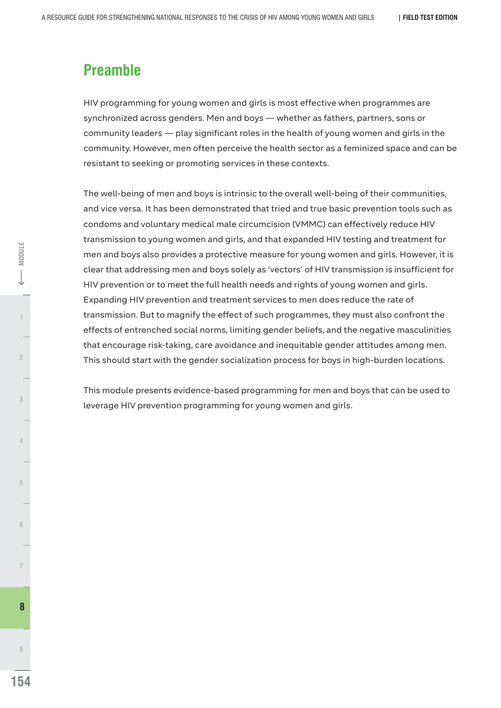# **Preamble**

HIV programming for young women and girls is most effective when programmes are synchronized across genders. Men and boys — whether as fathers, partners, sons or community leaders — play significant roles in the health of young women and girls in the community. However, men often perceive the health sector as a feminized space and can be resistant to seeking or promoting services in these contexts.

The well-being of men and boys is intrinsic to the overall well-being of their communities, and vice versa. It has been demonstrated that tried and true basic prevention tools such as condoms and voluntary medical male circumcision (VMMC) can effectively reduce HIV transmission to young women and girls, and that expanded HIV testing and treatment for men and boys also provides a protective measure for young women and girls. However, it is clear that addressing men and boys solely as 'vectors' of HIV transmission is insufficient for HIV prevention or to meet the full health needs and rights of young women and girls. Expanding HIV prevention and treatment services to men does reduce the rate of transmission. But to magnify the effect of such programmes, they must also confront the effects of entrenched social norms, limiting gender beliefs, and the negative masculinities that encourage risk-taking, care avoidance and inequitable gender attitudes among men. This should start with the gender socialization process for boys in high-burden locations.

This module presents evidence-based programming for men and boys that can be used to leverage HIV prevention programming for young women and girls.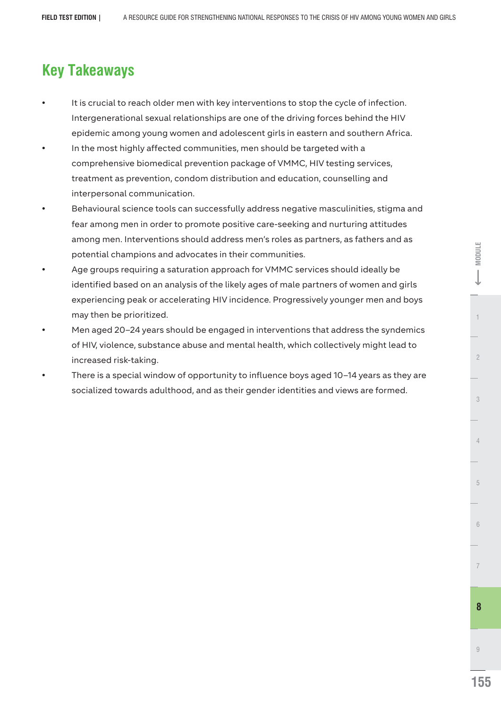# **Key Takeaways**

- It is crucial to reach older men with key interventions to stop the cycle of infection. Intergenerational sexual relationships are one of the driving forces behind the HIV epidemic among young women and adolescent girls in eastern and southern Africa.
- In the most highly affected communities, men should be targeted with a comprehensive biomedical prevention package of VMMC, HIV testing services, treatment as prevention, condom distribution and education, counselling and interpersonal communication.
- Behavioural science tools can successfully address negative masculinities, stigma and fear among men in order to promote positive care-seeking and nurturing attitudes among men. Interventions should address men's roles as partners, as fathers and as potential champions and advocates in their communities.
- Age groups requiring a saturation approach for VMMC services should ideally be identified based on an analysis of the likely ages of male partners of women and girls experiencing peak or accelerating HIV incidence. Progressively younger men and boys may then be prioritized.
- Men aged 20–24 years should be engaged in interventions that address the syndemics of HIV, violence, substance abuse and mental health, which collectively might lead to increased risk-taking.
- There is a special window of opportunity to influence boys aged 10–14 years as they are socialized towards adulthood, and as their gender identities and views are formed.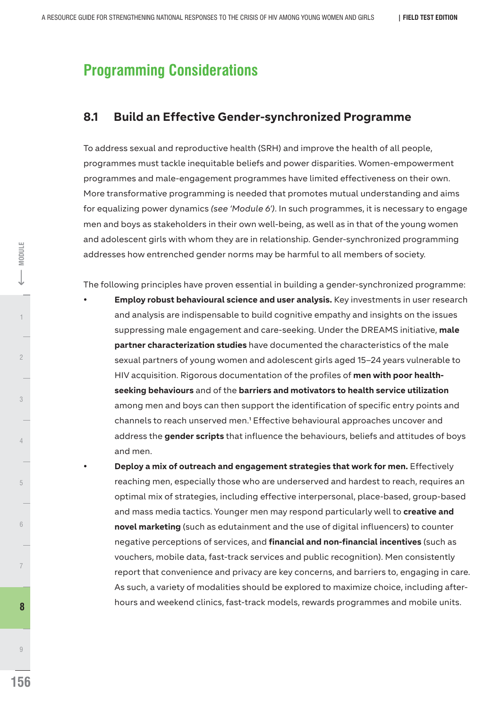# **Programming Considerations**

# **8.1 Build an Effective Gender-synchronized Programme**

To address sexual and reproductive health (SRH) and improve the health of all people, programmes must tackle inequitable beliefs and power disparities. Women-empowerment programmes and male-engagement programmes have limited effectiveness on their own. More transformative programming is needed that promotes mutual understanding and aims for equalizing power dynamics *(see 'Module 6')*. In such programmes, it is necessary to engage men and boys as stakeholders in their own well-being, as well as in that of the young women and adolescent girls with whom they are in relationship. Gender-synchronized programming addresses how entrenched gender norms may be harmful to all members of society.

The following principles have proven essential in building a gender-synchronized programme:

- **Employ robust behavioural science and user analysis.** Key investments in user research and analysis are indispensable to build cognitive empathy and insights on the issues suppressing male engagement and care-seeking. Under the DREAMS initiative, **male partner characterization studies** have documented the characteristics of the male sexual partners of young women and adolescent girls aged 15–24 years vulnerable to HIV acquisition. Rigorous documentation of the profiles of **men with poor healthseeking behaviours** and of the **barriers and motivators to health service utilization** among men and boys can then support the identification of specific entry points and channels to reach unserved men.<sup>1</sup> Effective behavioural approaches uncover and address the **gender scripts** that influence the behaviours, beliefs and attitudes of boys and men.
	- **Deploy a mix of outreach and engagement strategies that work for men.** Effectively reaching men, especially those who are underserved and hardest to reach, requires an optimal mix of strategies, including effective interpersonal, place-based, group-based and mass media tactics. Younger men may respond particularly well to **creative and novel marketing** (such as edutainment and the use of digital influencers) to counter negative perceptions of services, and **financial and non-financial incentives** (such as vouchers, mobile data, fast-track services and public recognition). Men consistently report that convenience and privacy are key concerns, and barriers to, engaging in care. As such, a variety of modalities should be explored to maximize choice, including afterhours and weekend clinics, fast-track models, rewards programmes and mobile units.

9

**8** 

4

3

 $\overline{2}$ 

1 2 **MODULE**

**MODULE** 

5

6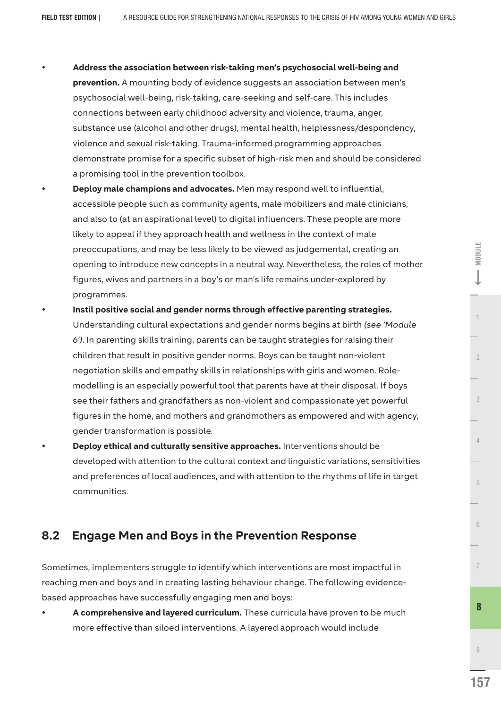- Ÿ **Address the association between risk-taking men's psychosocial well-being and prevention.** A mounting body of evidence suggests an association between men's psychosocial well-being, risk-taking, care-seeking and self-care. This includes connections between early childhood adversity and violence, trauma, anger, substance use (alcohol and other drugs), mental health, helplessness/despondency, violence and sexual risk-taking. Trauma-informed programming approaches demonstrate promise for a specific subset of high-risk men and should be considered a promising tool in the prevention toolbox.
- Deploy male champions and advocates. Men may respond well to influential, accessible people such as community agents, male mobilizers and male clinicians, and also to (at an aspirational level) to digital influencers. These people are more likely to appeal if they approach health and wellness in the context of male preoccupations, and may be less likely to be viewed as judgemental, creating an opening to introduce new concepts in a neutral way. Nevertheless, the roles of mother figures, wives and partners in a boy's or man's life remains under-explored by programmes.
- Instil positive social and gender norms through effective parenting strategies. Understanding cultural expectations and gender norms begins at birth *(see 'Module 6')*. In parenting skills training, parents can be taught strategies for raising their children that result in positive gender norms. Boys can be taught non-violent negotiation skills and empathy skills in relationships with girls and women. Rolemodelling is an especially powerful tool that parents have at their disposal. If boys see their fathers and grandfathers as non-violent and compassionate yet powerful figures in the home, and mothers and grandmothers as empowered and with agency, gender transformation is possible.
- **Deploy ethical and culturally sensitive approaches.** Interventions should be developed with attention to the cultural context and linguistic variations, sensitivities and preferences of local audiences, and with attention to the rhythms of life in target communities.

# **8.2 Engage Men and Boys in the Prevention Response**

Sometimes, implementers struggle to identify which interventions are most impactful in reaching men and boys and in creating lasting behaviour change. The following evidencebased approaches have successfully engaging men and boys:

A comprehensive and layered curriculum. These curricula have proven to be much more effective than siloed interventions. A layered approach would include

**E-MODULE**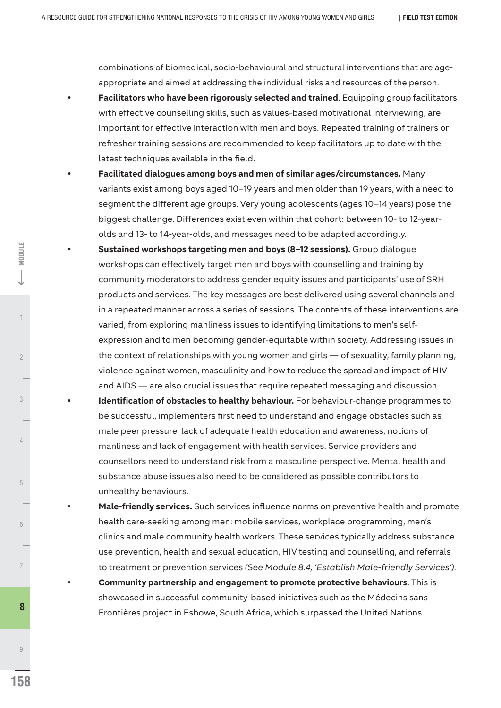combinations of biomedical, socio-behavioural and structural interventions that are ageappropriate and aimed at addressing the individual risks and resources of the person.

- **Facilitators who have been rigorously selected and trained**. Equipping group facilitators with effective counselling skills, such as values-based motivational interviewing, are important for effective interaction with men and boys. Repeated training of trainers or refresher training sessions are recommended to keep facilitators up to date with the latest techniques available in the field.
- Facilitated dialogues among boys and men of similar ages/circumstances. Many variants exist among boys aged 10–19 years and men older than 19 years, with a need to segment the different age groups. Very young adolescents (ages 10–14 years) pose the biggest challenge. Differences exist even within that cohort: between 10- to 12-yearolds and 13- to 14-year-olds, and messages need to be adapted accordingly.
- **Sustained workshops targeting men and boys (8–12 sessions).** Group dialogue workshops can effectively target men and boys with counselling and training by community moderators to address gender equity issues and participants' use of SRH products and services. The key messages are best delivered using several channels and in a repeated manner across a series of sessions. The contents of these interventions are varied, from exploring manliness issues to identifying limitations to men's selfexpression and to men becoming gender-equitable within society. Addressing issues in the context of relationships with young women and girls — of sexuality, family planning, violence against women, masculinity and how to reduce the spread and impact of HIV and AIDS — are also crucial issues that require repeated messaging and discussion. **Identification of obstacles to healthy behaviour.** For behaviour-change programmes to
	- be successful, implementers first need to understand and engage obstacles such as male peer pressure, lack of adequate health education and awareness, notions of manliness and lack of engagement with health services. Service providers and counsellors need to understand risk from a masculine perspective. Mental health and substance abuse issues also need to be considered as possible contributors to unhealthy behaviours.
- Male-friendly services. Such services influence norms on preventive health and promote health care-seeking among men: mobile services, workplace programming, men's clinics and male community health workers. These services typically address substance use prevention, health and sexual education, HIV testing and counselling, and referrals to treatment or prevention services *(See Module 8.4, 'Establish Male-friendly Services').*
	- **Community partnership and engagement to promote protective behaviours**. This is showcased in successful community-based initiatives such as the Médecins sans Frontières project in Eshowe, South Africa, which surpassed the United Nations

4

3

 $\overline{c}$ 

1 2 **MODULE**

**MODULE** 

5

6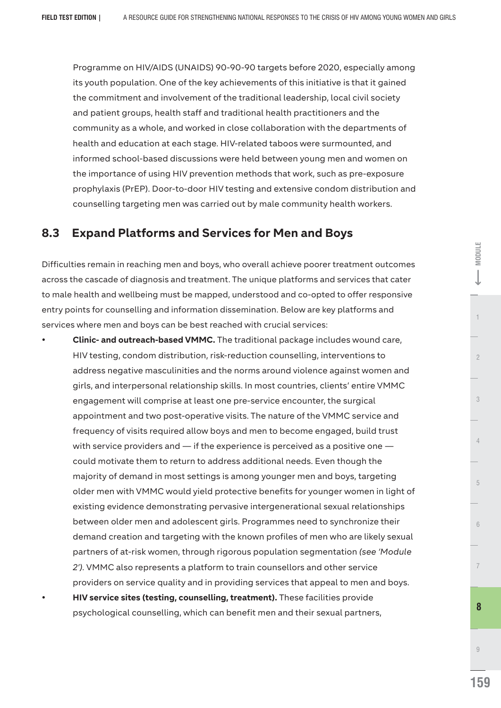Programme on HIV/AIDS (UNAIDS) 90-90-90 targets before 2020, especially among its youth population. One of the key achievements of this initiative is that it gained the commitment and involvement of the traditional leadership, local civil society and patient groups, health staff and traditional health practitioners and the community as a whole, and worked in close collaboration with the departments of health and education at each stage. HIV-related taboos were surmounted, and informed school-based discussions were held between young men and women on the importance of using HIV prevention methods that work, such as pre-exposure prophylaxis (PrEP). Door-to-door HIV testing and extensive condom distribution and counselling targeting men was carried out by male community health workers.

# **8.3 Expand Platforms and Services for Men and Boys**

Difficulties remain in reaching men and boys, who overall achieve poorer treatment outcomes across the cascade of diagnosis and treatment. The unique platforms and services that cater to male health and wellbeing must be mapped, understood and co-opted to offer responsive entry points for counselling and information dissemination. Below are key platforms and services where men and boys can be best reached with crucial services:

**Clinic- and outreach-based VMMC.** The traditional package includes wound care, HIV testing, condom distribution, risk-reduction counselling, interventions to address negative masculinities and the norms around violence against women and girls, and interpersonal relationship skills. In most countries, clients' entire VMMC engagement will comprise at least one pre-service encounter, the surgical appointment and two post-operative visits. The nature of the VMMC service and frequency of visits required allow boys and men to become engaged, build trust with service providers and — if the experience is perceived as a positive one could motivate them to return to address additional needs. Even though the majority of demand in most settings is among younger men and boys, targeting older men with VMMC would yield protective benefits for younger women in light of existing evidence demonstrating pervasive intergenerational sexual relationships between older men and adolescent girls. Programmes need to synchronize their demand creation and targeting with the known profiles of men who are likely sexual partners of at-risk women, through rigorous population segmentation *(see 'Module 2').* VMMC also represents a platform to train counsellors and other service providers on service quality and in providing services that appeal to men and boys. **HIV service sites (testing, counselling, treatment).** These facilities provide psychological counselling, which can benefit men and their sexual partners,

1 **2** MODE  $\begin{bmatrix} 1 & 2 \\ 2 & 1 \end{bmatrix}$  2

 $\overline{2}$ 

**E-MODULE** 

**159**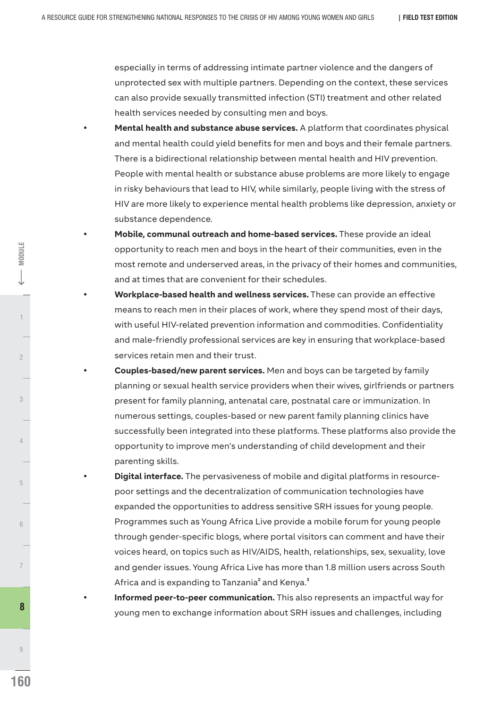especially in terms of addressing intimate partner violence and the dangers of unprotected sex with multiple partners. Depending on the context, these services can also provide sexually transmitted infection (STI) treatment and other related health services needed by consulting men and boys.

- **Mental health and substance abuse services.** A platform that coordinates physical and mental health could yield benefits for men and boys and their female partners. There is a bidirectional relationship between mental health and HIV prevention. People with mental health or substance abuse problems are more likely to engage in risky behaviours that lead to HIV, while similarly, people living with the stress of HIV are more likely to experience mental health problems like depression, anxiety or substance dependence.
- Mobile, communal outreach and home-based services. These provide an ideal opportunity to reach men and boys in the heart of their communities, even in the most remote and underserved areas, in the privacy of their homes and communities, and at times that are convenient for their schedules.
- Workplace-based health and wellness services. These can provide an effective means to reach men in their places of work, where they spend most of their days, with useful HIV-related prevention information and commodities. Confidentiality and male-friendly professional services are key in ensuring that workplace-based services retain men and their trust.
- **Couples-based/new parent services.** Men and boys can be targeted by family planning or sexual health service providers when their wives, girlfriends or partners present for family planning, antenatal care, postnatal care or immunization. In numerous settings, couples-based or new parent family planning clinics have successfully been integrated into these platforms. These platforms also provide the opportunity to improve men's understanding of child development and their parenting skills.
- **Digital interface.** The pervasiveness of mobile and digital platforms in resourcepoor settings and the decentralization of communication technologies have expanded the opportunities to address sensitive SRH issues for young people. Programmes such as Young Africa Live provide a mobile forum for young people through gender-specific blogs, where portal visitors can comment and have their voices heard, on topics such as HIV/AIDS, health, relationships, sex, sexuality, love and gender issues. Young Africa Live has more than 1.8 million users across South Africa and is expanding to Tanzania<sup>2</sup> and Kenya.<sup>3</sup>
- Informed peer-to-peer communication. This also represents an impactful way for young men to exchange information about SRH issues and challenges, including **<sup>8</sup>**

9

4

3

 $\overline{2}$ 

1 **3** MODE  $\begin{bmatrix} 1 & 1 & 2 \end{bmatrix}$ 

**MODULE** 

5

6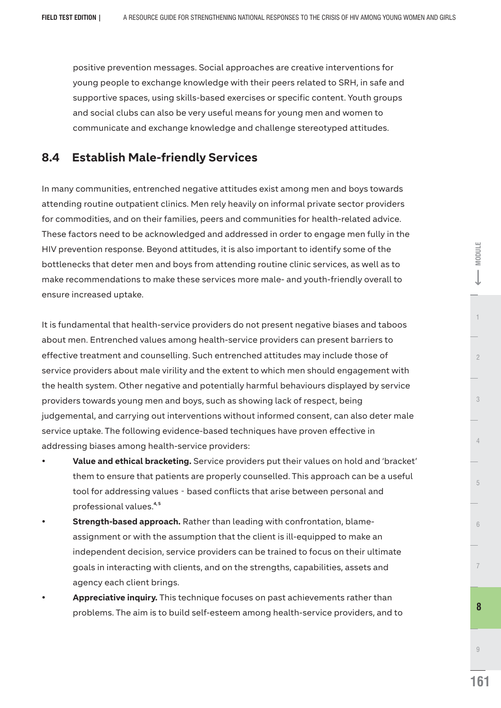positive prevention messages. Social approaches are creative interventions for young people to exchange knowledge with their peers related to SRH, in safe and supportive spaces, using skills-based exercises or specific content. Youth groups and social clubs can also be very useful means for young men and women to communicate and exchange knowledge and challenge stereotyped attitudes.

# **8.4 Establish Male-friendly Services**

In many communities, entrenched negative attitudes exist among men and boys towards attending routine outpatient clinics. Men rely heavily on informal private sector providers for commodities, and on their families, peers and communities for health-related advice. These factors need to be acknowledged and addressed in order to engage men fully in the HIV prevention response. Beyond attitudes, it is also important to identify some of the bottlenecks that deter men and boys from attending routine clinic services, as well as to make recommendations to make these services more male- and youth-friendly overall to ensure increased uptake.

It is fundamental that health-service providers do not present negative biases and taboos about men. Entrenched values among health-service providers can present barriers to effective treatment and counselling. Such entrenched attitudes may include those of service providers about male virility and the extent to which men should engagement with the health system. Other negative and potentially harmful behaviours displayed by service providers towards young men and boys, such as showing lack of respect, being judgemental, and carrying out interventions without informed consent, can also deter male service uptake. The following evidence-based techniques have proven effective in addressing biases among health-service providers:

- Value and ethical bracketing. Service providers put their values on hold and 'bracket' them to ensure that patients are properly counselled. This approach can be a useful tool for addressing values - based conflicts that arise between personal and **4, 5** professional values.
- **Strength-based approach.** Rather than leading with confrontation, blameassignment or with the assumption that the client is ill-equipped to make an independent decision, service providers can be trained to focus on their ultimate goals in interacting with clients, and on the strengths, capabilities, assets and agency each client brings.
- Appreciative inquiry. This technique focuses on past achievements rather than problems. The aim is to build self-esteem among health-service providers, and to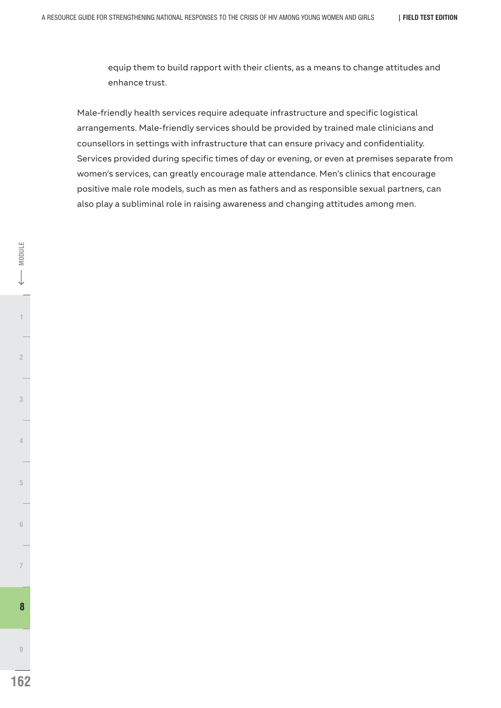equip them to build rapport with their clients, as a means to change attitudes and enhance trust.

Male-friendly health services require adequate infrastructure and specific logistical arrangements. Male-friendly services should be provided by trained male clinicians and counsellors in settings with infrastructure that can ensure privacy and confidentiality. Services provided during specific times of day or evening, or even at premises separate from women's services, can greatly encourage male attendance. Men's clinics that encourage positive male role models, such as men as fathers and as responsible sexual partners, can also play a subliminal role in raising awareness and changing attitudes among men.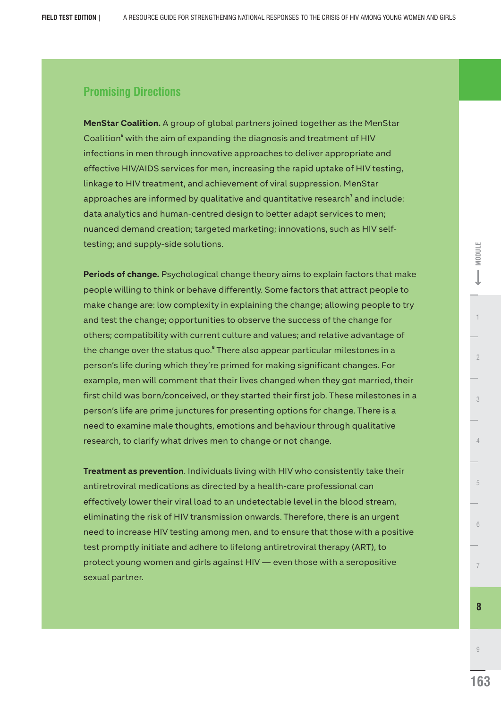# **Promising Directions**

**MenStar Coalition.** A group of global partners joined together as the MenStar **Coalition**<sup>6</sup> with the aim of expanding the diagnosis and treatment of HIV infections in men through innovative approaches to deliver appropriate and effective HIV/AIDS services for men, increasing the rapid uptake of HIV testing, linkage to HIV treatment, and achievement of viral suppression. MenStar approaches are informed by qualitative and quantitative research<sup>7</sup> and include: data analytics and human-centred design to better adapt services to men; nuanced demand creation; targeted marketing; innovations, such as HIV selftesting; and supply-side solutions.

**Periods of change.** Psychological change theory aims to explain factors that make people willing to think or behave differently. Some factors that attract people to make change are: low complexity in explaining the change; allowing people to try and test the change; opportunities to observe the success of the change for others; compatibility with current culture and values; and relative advantage of the change over the status quo.<sup>8</sup> There also appear particular milestones in a person's life during which they're primed for making significant changes. For example, men will comment that their lives changed when they got married, their first child was born/conceived, or they started their first job. These milestones in a person's life are prime junctures for presenting options for change. There is a need to examine male thoughts, emotions and behaviour through qualitative research, to clarify what drives men to change or not change.

**Treatment as prevention**. Individuals living with HIV who consistently take their antiretroviral medications as directed by a health-care professional can effectively lower their viral load to an undetectable level in the blood stream, eliminating the risk of HIV transmission onwards. Therefore, there is an urgent need to increase HIV testing among men, and to ensure that those with a positive test promptly initiate and adhere to lifelong antiretroviral therapy (ART), to protect young women and girls against HIV — even those with a seropositive sexual partner.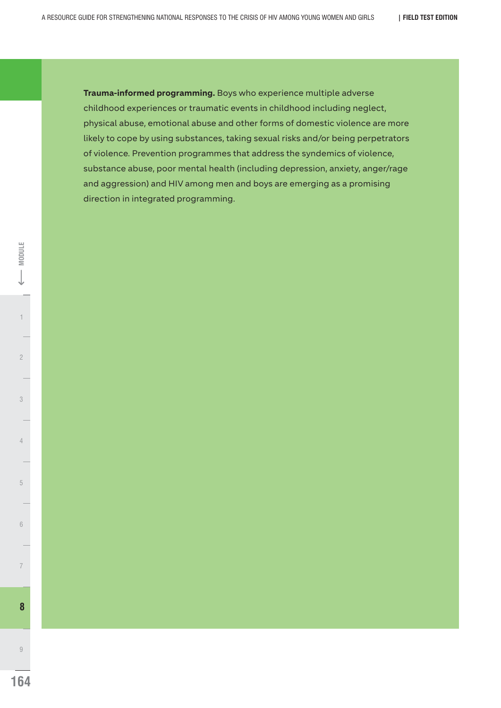**Trauma-informed programming.** Boys who experience multiple adverse childhood experiences or traumatic events in childhood including neglect, physical abuse, emotional abuse and other forms of domestic violence are more likely to cope by using substances, taking sexual risks and/or being perpetrators of violence. Prevention programmes that address the syndemics of violence, substance abuse, poor mental health (including depression, anxiety, anger/rage and aggression) and HIV among men and boys are emerging as a promising direction in integrated programming.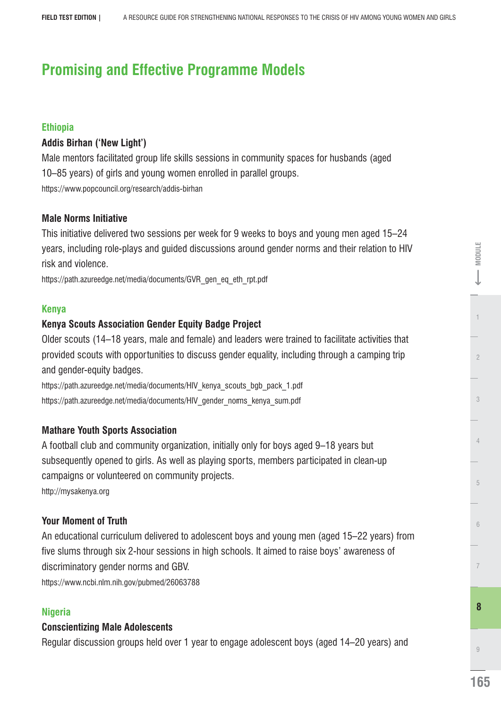# **Promising and Effective Programme Models**

# **Ethiopia**

# **Addis Birhan ('New Light')**

Male mentors facilitated group life skills sessions in community spaces for husbands (aged 10–85 years) of girls and young women enrolled in parallel groups. https://www.popcouncil.org/research/addis-birhan

# **Male Norms Initiative**

This initiative delivered two sessions per week for 9 weeks to boys and young men aged 15–24 years, including role-plays and guided discussions around gender norms and their relation to HIV risk and violence.

https://path.azureedge.net/media/documents/GVR\_gen\_eq\_eth\_rpt.pdf

# **Kenya**

# **Kenya Scouts Association Gender Equity Badge Project**

Older scouts (14–18 years, male and female) and leaders were trained to facilitate activities that provided scouts with opportunities to discuss gender equality, including through a camping trip and gender-equity badges.

https://path.azureedge.net/media/documents/HIV\_kenya\_scouts\_bgb\_pack\_1.pdf https://path.azureedge.net/media/documents/HIV\_gender\_norms\_kenya\_sum.pdf

# **Mathare Youth Sports Association**

A football club and community organization, initially only for boys aged 9–18 years but subsequently opened to girls. As well as playing sports, members participated in clean-up campaigns or volunteered on community projects.

http://mysakenya.org

# **Your Moment of Truth**

An educational curriculum delivered to adolescent boys and young men (aged 15–22 years) from five slums through six 2-hour sessions in high schools. It aimed to raise boys' awareness of discriminatory gender norms and GBV.

https://www.ncbi.nlm.nih.gov/pubmed/26063788

# **Nigeria**

# **Conscientizing Male Adolescents**

Regular discussion groups held over 1 year to engage adolescent boys (aged 14–20 years) and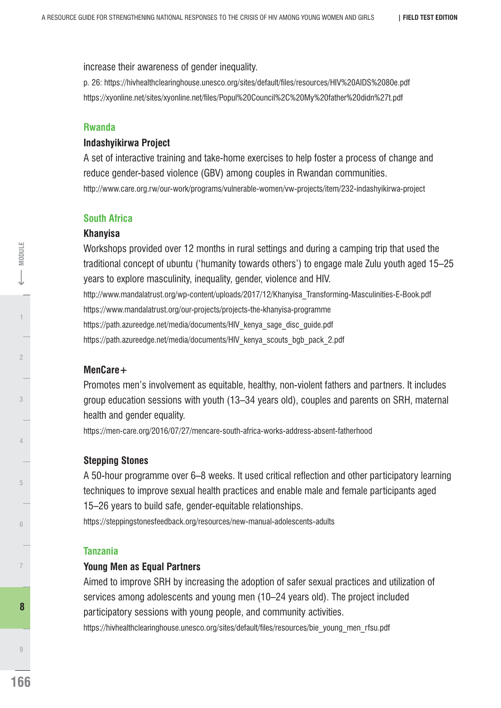increase their awareness of gender inequality.

p. 26: https://hivhealthclearinghouse.unesco.org/sites/default/les/resources/HIV%20AIDS%2080e.pdf https://xyonline.net/sites/xyonline.net/files/Popul%20Council%2C%20My%20father%20didn%27t.pdf

#### **Rwanda**

#### **Indashyikirwa Project**

A set of interactive training and take-home exercises to help foster a process of change and reduce gender-based violence (GBV) among couples in Rwandan communities. http://www.care.org.rw/our-work/programs/vulnerable-women/vw-projects/item/232-indashyikirwa-project

#### **South Africa**

#### **Khanyisa**

Workshops provided over 12 months in rural settings and during a camping trip that used the traditional concept of ubuntu ('humanity towards others') to engage male Zulu youth aged 15–25 years to explore masculinity, inequality, gender, violence and HIV. http://www.mandalatrust.org/wp-content/uploads/2017/12/Khanyisa\_Transforming-Masculinities-E-Book.pdf https://www.mandalatrust.org/our-projects/projects-the-khanyisa-programme https://path.azureedge.net/media/documents/HIV\_kenya\_sage\_disc\_guide.pdf https://path.azureedge.net/media/documents/HIV\_kenya\_scouts\_bgb\_pack\_2.pdf

#### **MenCare+**

Promotes men's involvement as equitable, healthy, non-violent fathers and partners. It includes group education sessions with youth (13–34 years old), couples and parents on SRH, maternal health and gender equality.

https://men-care.org/2016/07/27/mencare-south-africa-works-address-absent-fatherhood

#### **Stepping Stones**

A 50-hour programme over 6–8 weeks. It used critical reflection and other participatory learning techniques to improve sexual health practices and enable male and female participants aged 15–26 years to build safe, gender-equitable relationships.

https://steppingstonesfeedback.org/resources/new-manual-adolescents-adults

#### **Tanzania**

#### **Young Men as Equal Partners**

Aimed to improve SRH by increasing the adoption of safer sexual practices and utilization of services among adolescents and young men (10–24 years old). The project included participatory sessions with young people, and community activities.

https://hivhealthclearinghouse.unesco.org/sites/default/files/resources/bie\_young\_men\_rfsu.pdf

MODULE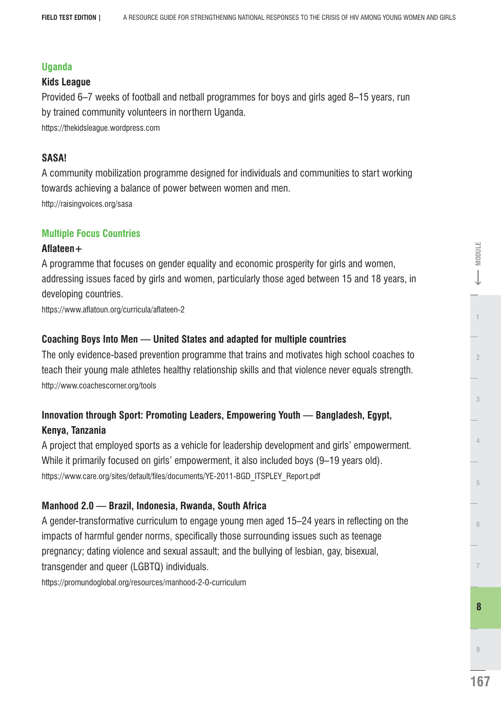#### **Uganda**

#### **Kids League**

Provided 6–7 weeks of football and netball programmes for boys and girls aged 8–15 years, run by trained community volunteers in northern Uganda.

https://thekidsleague.wordpress.com

### **SASA!**

A community mobilization programme designed for individuals and communities to start working towards achieving a balance of power between women and men. http://raisingvoices.org/sasa

#### **Multiple Focus Countries**

#### Aflateen+

A programme that focuses on gender equality and economic prosperity for girls and women, addressing issues faced by girls and women, particularly those aged between 15 and 18 years, in developing countries.

https://www.aflatoun.org/curricula/aflateen-2

### **Coaching Boys Into Men — United States and adapted for multiple countries**

The only evidence-based prevention programme that trains and motivates high school coaches to teach their young male athletes healthy relationship skills and that violence never equals strength. http://www.coachescorner.org/tools

# **Innovation through Sport: Promoting Leaders, Empowering Youth — Bangladesh, Egypt, Kenya, Tanzania**

A project that employed sports as a vehicle for leadership development and girls' empowerment. While it primarily focused on girls' empowerment, it also included boys (9–19 years old). https://www.care.org/sites/default/files/documents/YE-2011-BGD\_ITSPLEY\_Report.pdf

# **Manhood 2.0 — Brazil, Indonesia, Rwanda, South Africa**

A gender-transformative curriculum to engage young men aged 15–24 years in reflecting on the impacts of harmful gender norms, specifically those surrounding issues such as teenage pregnancy; dating violence and sexual assault; and the bullying of lesbian, gay, bisexual, transgender and queer (LGBTQ) individuals.

https://promundoglobal.org/resources/manhood-2-0-curriculum

E-MODULE

**167**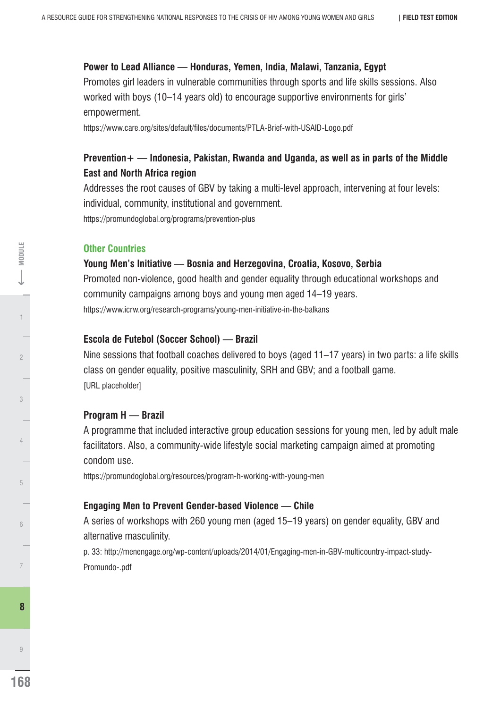#### **Power to Lead Alliance — Honduras, Yemen, India, Malawi, Tanzania, Egypt**

Promotes girl leaders in vulnerable communities through sports and life skills sessions. Also worked with boys (10–14 years old) to encourage supportive environments for girls' empowerment.

https://www.care.org/sites/default/files/documents/PTLA-Brief-with-USAID-Logo.pdf

# **Prevention+ — Indonesia, Pakistan, Rwanda and Uganda, as well as in parts of the Middle East and North Africa region**

Addresses the root causes of GBV by taking a multi-level approach, intervening at four levels: individual, community, institutional and government. https://promundoglobal.org/programs/prevention-plus

#### **Other Countries**

#### **Young Men's Initiative — Bosnia and Herzegovina, Croatia, Kosovo, Serbia**

Promoted non-violence, good health and gender equality through educational workshops and community campaigns among boys and young men aged 14–19 years. https://www.icrw.org/research-programs/young-men-initiative-in-the-balkans

#### **Escola de Futebol (Soccer School) — Brazil**

Nine sessions that football coaches delivered to boys (aged 11–17 years) in two parts: a life skills class on gender equality, positive masculinity, SRH and GBV; and a football game. [URL placeholder]

#### **Program H — Brazil**

A programme that included interactive group education sessions for young men, led by adult male facilitators. Also, a community-wide lifestyle social marketing campaign aimed at promoting condom use.

https://promundoglobal.org/resources/program-h-working-with-young-men

#### **Engaging Men to Prevent Gender-based Violence — Chile**

A series of workshops with 260 young men (aged 15–19 years) on gender equality, GBV and alternative masculinity.

p. 33: http://menengage.org/wp-content/uploads/2014/01/Engaging-men-in-GBV-multicountry-impact-study-Promundo-.pdf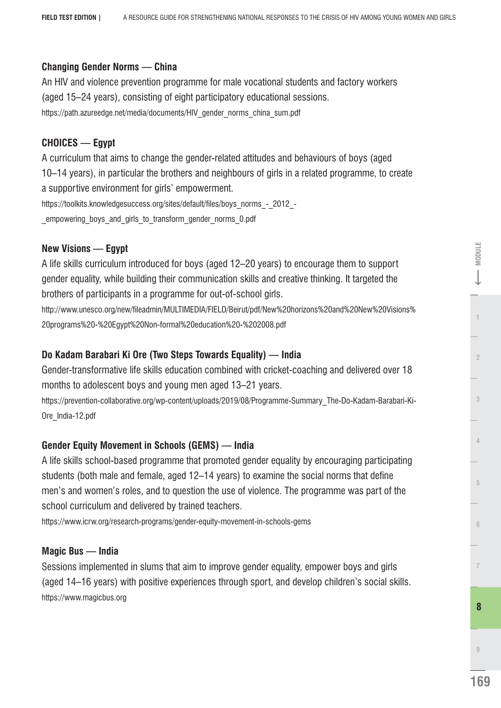# **Changing Gender Norms — China**

An HIV and violence prevention programme for male vocational students and factory workers (aged 15–24 years), consisting of eight participatory educational sessions. https://path.azureedge.net/media/documents/HIV\_gender\_norms\_china\_sum.pdf

# **CHOICES — Egypt**

A curriculum that aims to change the gender-related attitudes and behaviours of boys (aged 10–14 years), in particular the brothers and neighbours of girls in a related programme, to create a supportive environment for girls' empowerment. https://toolkits.knowledgesuccess.org/sites/default/files/boys\_norms\_-\_2012\_-

empowering boys and girls to transform\_gender\_norms\_0.pdf

# **New Visions — Egypt**

A life skills curriculum introduced for boys (aged 12–20 years) to encourage them to support gender equality, while building their communication skills and creative thinking. It targeted the brothers of participants in a programme for out-of-school girls.

http://www.unesco.org/new/leadmin/MULTIMEDIA/FIELD/Beirut/pdf/New%20horizons%20and%20New%20Visions% 20programs%20-%20Egypt%20Non-formal%20education%20-%202008.pdf

## **Do Kadam Barabari Ki Ore (Two Steps Towards Equality) — India**

Gender-transformative life skills education combined with cricket-coaching and delivered over 18 months to adolescent boys and young men aged 13–21 years.

https://prevention-collaborative.org/wp-content/uploads/2019/08/Programme-Summary\_The-Do-Kadam-Barabari-Ki-Ore\_India-12.pdf

# **Gender Equity Movement in Schools (GEMS) — India**

A life skills school-based programme that promoted gender equality by encouraging participating students (both male and female, aged 12–14 years) to examine the social norms that define men's and women's roles, and to question the use of violence. The programme was part of the school curriculum and delivered by trained teachers.

https://www.icrw.org/research-programs/gender-equity-movement-in-schools-gems

### **Magic Bus — India**

Sessions implemented in slums that aim to improve gender equality, empower boys and girls (aged 14–16 years) with positive experiences through sport, and develop children's social skills. https://www.magicbus.org

**169**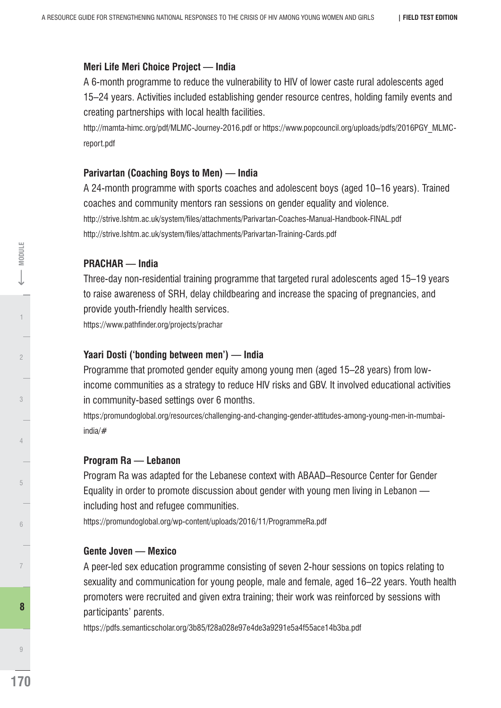#### **Meri Life Meri Choice Project — India**

A 6-month programme to reduce the vulnerability to HIV of lower caste rural adolescents aged 15–24 years. Activities included establishing gender resource centres, holding family events and creating partnerships with local health facilities.

http://mamta-himc.org/pdf/MLMC-Journey-2016.pdf or https://www.popcouncil.org/uploads/pdfs/2016PGY\_MLMCreport.pdf

## **Parivartan (Coaching Boys to Men) — India**

A 24-month programme with sports coaches and adolescent boys (aged 10–16 years). Trained coaches and community mentors ran sessions on gender equality and violence. http://strive.lshtm.ac.uk/system/les/attachments/Parivartan-Coaches-Manual-Handbook-FINAL.pdf http://strive.lshtm.ac.uk/system/files/attachments/Parivartan-Training-Cards.pdf

### **PRACHAR — India**

Three-day non-residential training programme that targeted rural adolescents aged 15–19 years to raise awareness of SRH, delay childbearing and increase the spacing of pregnancies, and provide youth-friendly health services.

https://www.pathfinder.org/projects/prachar

#### **Yaari Dosti ('bonding between men') — India**

Programme that promoted gender equity among young men (aged 15–28 years) from lowincome communities as a strategy to reduce HIV risks and GBV. It involved educational activities in community-based settings over 6 months.

https:/promundoglobal.org/resources/challenging-and-changing-gender-attitudes-among-young-men-in-mumbaiindia/#

### **Program Ra — Lebanon**

Program Ra was adapted for the Lebanese context with ABAAD–Resource Center for Gender Equality in order to promote discussion about gender with young men living in Lebanon including host and refugee communities.

https://promundoglobal.org/wp-content/uploads/2016/11/ProgrammeRa.pdf

### **Gente Joven — Mexico**

A peer-led sex education programme consisting of seven 2-hour sessions on topics relating to sexuality and communication for young people, male and female, aged 16–22 years. Youth health promoters were recruited and given extra training; their work was reinforced by sessions with participants' parents.

https://pdfs.semanticscholar.org/3b85/f28a028e97e4de3a9291e5a4f55ace14b3ba.pdf

9

**8** 

4

3

 $\overline{c}$ 

1 2 **MODULE**

<- MODULE

5

6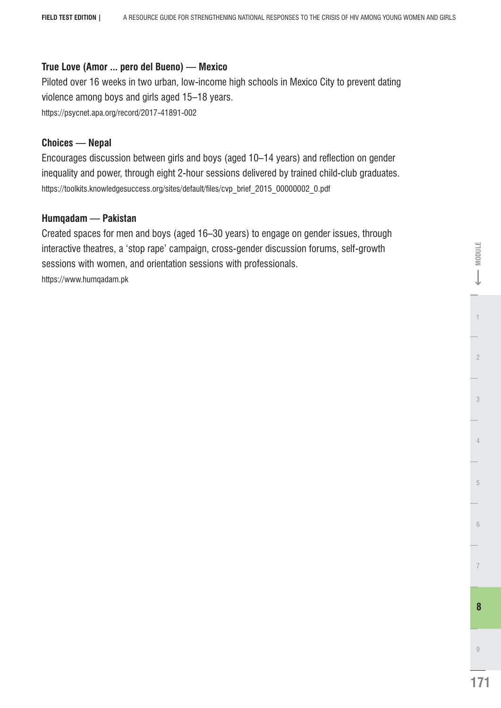## **True Love (Amor ... pero del Bueno) — Mexico**

Piloted over 16 weeks in two urban, low-income high schools in Mexico City to prevent dating violence among boys and girls aged 15–18 years. https://psycnet.apa.org/record/2017-41891-002

## **Choices — Nepal**

Encourages discussion between girls and boys (aged 10–14 years) and reflection on gender inequality and power, through eight 2-hour sessions delivered by trained child-club graduates. https://toolkits.knowledgesuccess.org/sites/default/files/cvp\_brief\_2015\_00000002\_0.pdf

# **Humqadam — Pakistan**

Created spaces for men and boys (aged 16–30 years) to engage on gender issues, through interactive theatres, a 'stop rape' campaign, cross-gender discussion forums, self-growth sessions with women, and orientation sessions with professionals. https://www.humqadam.pk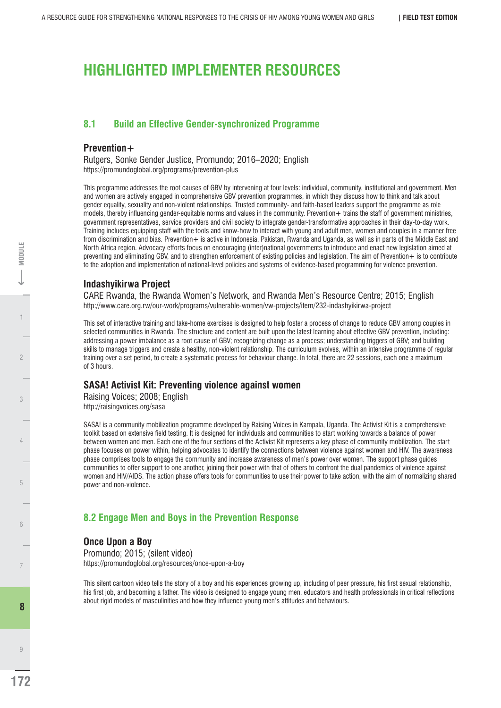# **HIGHLIGHTED IMPLEMENTER RESOURCES**

#### **8.1 Build an Effective Gender-synchronized Programme**

#### **Prevention+**

Rutgers, Sonke Gender Justice, Promundo; 2016–2020; English https://promundoglobal.org/programs/prevention-plus

This programme addresses the root causes of GBV by intervening at four levels: individual, community, institutional and government. Men and women are actively engaged in comprehensive GBV prevention programmes, in which they discuss how to think and talk about gender equality, sexuality and non-violent relationships. Trusted community- and faith-based leaders support the programme as role models, thereby influencing gender-equitable norms and values in the community. Prevention+ trains the staff of government ministries, government representatives, service providers and civil society to integrate gender-transformative approaches in their day-to-day work. Training includes equipping staff with the tools and know-how to interact with young and adult men, women and couples in a manner free from discrimination and bias. Prevention + is active in Indonesia, Pakistan, Rwanda and Uganda, as well as in parts of the Middle East and North Africa region. Advocacy efforts focus on encouraging (inter)national governments to introduce and enact new legislation aimed at preventing and eliminating GBV, and to strengthen enforcement of existing policies and legislation. The aim of Prevention+ is to contribute to the adoption and implementation of national-level policies and systems of evidence-based programming for violence prevention.

#### **Indashyikirwa Project**

CARE Rwanda, the Rwanda Women's Network, and Rwanda Men's Resource Centre; 2015; English http://www.care.org.rw/our-work/programs/vulnerable-women/vw-projects/item/232-indashyikirwa-project

This set of interactive training and take-home exercises is designed to help foster a process of change to reduce GBV among couples in selected communities in Rwanda. The structure and content are built upon the latest learning about effective GBV prevention, including: addressing a power imbalance as a root cause of GBV; recognizing change as a process; understanding triggers of GBV; and building skills to manage triggers and create a healthy, non-violent relationship. The curriculum evolves, within an intensive programme of regular training over a set period, to create a systematic process for behaviour change. In total, there are 22 sessions, each one a maximum of 3 hours.

#### **SASA! Activist Kit: Preventing violence against women**

Raising Voices; 2008; English http://raisingvoices.org/sasa

SASA! is a community mobilization programme developed by Raising Voices in Kampala, Uganda. The Activist Kit is a comprehensive toolkit based on extensive field testing. It is designed for individuals and communities to start working towards a balance of power between women and men. Each one of the four sections of the Activist Kit represents a key phase of community mobilization. The start phase focuses on power within, helping advocates to identify the connections between violence against women and HIV. The awareness phase comprises tools to engage the community and increase awareness of men's power over women. The support phase guides communities to offer support to one another, joining their power with that of others to confront the dual pandemics of violence against women and HIV/AIDS. The action phase offers tools for communities to use their power to take action, with the aim of normalizing shared power and non-violence.

### **8.2 Engage Men and Boys in the Prevention Response**

#### **Once Upon a Boy**

Promundo; 2015; (silent video) https://promundoglobal.org/resources/once-upon-a-boy

This silent cartoon video tells the story of a boy and his experiences growing up, including of peer pressure, his first sexual relationship, his first job, and becoming a father. The video is designed to engage young men, educators and health professionals in critical reflections about rigid models of masculinities and how they influence young men's attitudes and behaviours.

**MODULE** 

7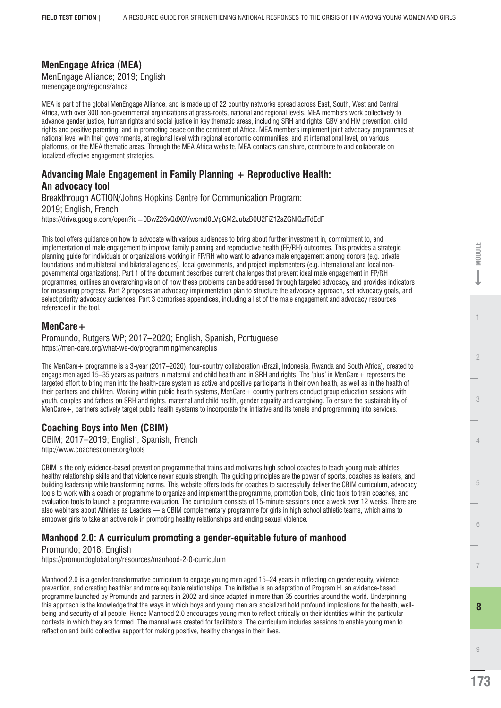# **MenEngage Africa (MEA)**

MenEngage Alliance; 2019; English menengage.org/regions/africa

MEA is part of the global MenEngage Alliance, and is made up of 22 country networks spread across East, South, West and Central Africa, with over 300 non-governmental organizations at grass-roots, national and regional levels. MEA members work collectively to advance gender justice, human rights and social justice in key thematic areas, including SRH and rights, GBV and HIV prevention, child rights and positive parenting, and in promoting peace on the continent of Africa. MEA members implement joint advocacy programmes at national level with their governments, at regional level with regional economic communities, and at international level, on various platforms, on the MEA thematic areas. Through the MEA Africa website, MEA contacts can share, contribute to and collaborate on localized effective engagement strategies.

#### **Advancing Male Engagement in Family Planning + Reproductive Health: An advocacy tool**

Breakthrough ACTION/Johns Hopkins Centre for Communication Program; 2019; English, French https://drive.google.com/open?id=0BwZ26vQdX0Vwcmd0LVpGM2JubzB0U2FiZ1ZaZGNlQzlTdEdF

This tool offers guidance on how to advocate with various audiences to bring about further investment in, commitment to, and implementation of male engagement to improve family planning and reproductive health (FP/RH) outcomes. This provides a strategic planning guide for individuals or organizations working in FP/RH who want to advance male engagement among donors (e.g. private foundations and multilateral and bilateral agencies), local governments, and project implementers (e.g. international and local nongovernmental organizations). Part 1 of the document describes current challenges that prevent ideal male engagement in FP/RH programmes, outlines an overarching vision of how these problems can be addressed through targeted advocacy, and provides indicators for measuring progress. Part 2 proposes an advocacy implementation plan to structure the advocacy approach, set advocacy goals, and select priority advocacy audiences. Part 3 comprises appendices, including a list of the male engagement and advocacy resources referenced in the tool.

#### **MenCare+**

Promundo, Rutgers WP; 2017–2020; English, Spanish, Portuguese https://men-care.org/what-we-do/programming/mencareplus

The MenCare+ programme is a 3-year (2017–2020), four-country collaboration (Brazil, Indonesia, Rwanda and South Africa), created to engage men aged 15–35 years as partners in maternal and child health and in SRH and rights. The 'plus' in MenCare+ represents the targeted effort to bring men into the health-care system as active and positive participants in their own health, as well as in the health of their partners and children. Working within public health systems, MenCare+ country partners conduct group education sessions with youth, couples and fathers on SRH and rights, maternal and child health, gender equality and caregiving. To ensure the sustainability of MenCare+, partners actively target public health systems to incorporate the initiative and its tenets and programming into services.

### **Coaching Boys into Men (CBIM)**

CBIM; 2017–2019; English, Spanish, French http://www.coachescorner.org/tools

CBIM is the only evidence-based prevention programme that trains and motivates high school coaches to teach young male athletes healthy relationship skills and that violence never equals strength. The guiding principles are the power of sports, coaches as leaders, and building leadership while transforming norms. This website offers tools for coaches to successfully deliver the CBIM curriculum, advocacy tools to work with a coach or programme to organize and implement the programme, promotion tools, clinic tools to train coaches, and evaluation tools to launch a programme evaluation. The curriculum consists of 15-minute sessions once a week over 12 weeks. There are also webinars about Athletes as Leaders — a CBIM complementary programme for girls in high school athletic teams, which aims to empower girls to take an active role in promoting healthy relationships and ending sexual violence.

# **Manhood 2.0: A curriculum promoting a gender-equitable future of manhood**

Promundo; 2018; English

https://promundoglobal.org/resources/manhood-2-0-curriculum

Manhood 2.0 is a gender-transformative curriculum to engage young men aged 15-24 years in reflecting on gender equity, violence prevention, and creating healthier and more equitable relationships. The initiative is an adaptation of Program H, an evidence-based programme launched by Promundo and partners in 2002 and since adapted in more than 35 countries around the world. Underpinning this approach is the knowledge that the ways in which boys and young men are socialized hold profound implications for the health, wellbeing and security of all people. Hence Manhood 2.0 encourages young men to reflect critically on their identities within the particular contexts in which they are formed. The manual was created for facilitators. The curriculum includes sessions to enable young men to reflect on and build collective support for making positive, healthy changes in their lives.

 $-$  MODULE